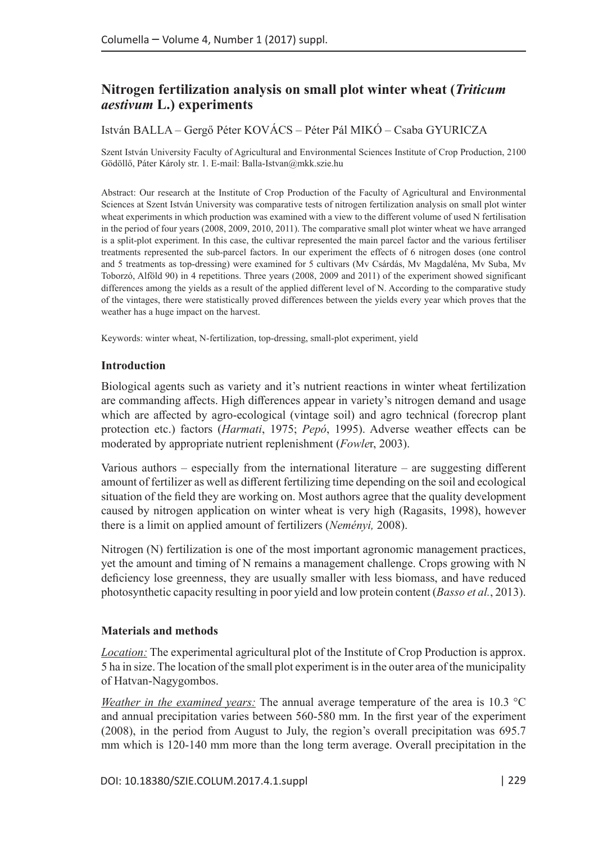# **Nitrogen fertilization analysis on small plot winter wheat (***Triticum aestivum* **L.) experiments**

István BALLA – Gergő Péter KOVÁCS – Péter Pál MIKÓ – Csaba GYURICZA

Szent István University Faculty of Agricultural and Environmental Sciences Institute of Crop Production, 2100 Gödöllő, Páter Károly str. 1. E-mail: Balla-Istvan@mkk.szie.hu

Abstract: Our research at the Institute of Crop Production of the Faculty of Agricultural and Environmental Sciences at Szent István University was comparative tests of nitrogen fertilization analysis on small plot winter wheat experiments in which production was examined with a view to the different volume of used N fertilisation in the period of four years (2008, 2009, 2010, 2011). The comparative small plot winter wheat we have arranged is a split-plot experiment. In this case, the cultivar represented the main parcel factor and the various fertiliser treatments represented the sub-parcel factors. In our experiment the effects of 6 nitrogen doses (one control and 5 treatments as top-dressing) were examined for 5 cultivars (Mv Csárdás, Mv Magdaléna, Mv Suba, Mv Toborzó, Alföld 90) in 4 repetitions. Three years (2008, 2009 and 2011) of the experiment showed significant differences among the yields as a result of the applied different level of N. According to the comparative study of the vintages, there were statistically proved differences between the yields every year which proves that the weather has a huge impact on the harvest.

Keywords: winter wheat, N-fertilization, top-dressing, small-plot experiment, yield

## **Introduction**

Biological agents such as variety and it's nutrient reactions in winter wheat fertilization are commanding affects. High differences appear in variety's nitrogen demand and usage which are affected by agro-ecological (vintage soil) and agro technical (forecrop plant protection etc.) factors (*Harmati*, 1975; *Pepó*, 1995). Adverse weather effects can be moderated by appropriate nutrient replenishment (*Fowle*r, 2003).

Various authors – especially from the international literature – are suggesting different amount of fertilizer as well as different fertilizing time depending on the soil and ecological situation of the field they are working on. Most authors agree that the quality development caused by nitrogen application on winter wheat is very high (Ragasits, 1998), however there is a limit on applied amount of fertilizers (*Neményi,* 2008).

Nitrogen (N) fertilization is one of the most important agronomic management practices, yet the amount and timing of N remains a management challenge. Crops growing with N deficiency lose greenness, they are usually smaller with less biomass, and have reduced photosynthetic capacity resulting in poor yield and low protein content (*Basso et al.*, 2013).

## **Materials and methods**

*Location:* The experimental agricultural plot of the Institute of Crop Production is approx. 5 ha in size. The location of the small plot experiment is in the outer area of the municipality of Hatvan-Nagygombos.

*Weather in the examined years:* The annual average temperature of the area is 10.3 °C and annual precipitation varies between 560-580 mm. In the first year of the experiment (2008), in the period from August to July, the region's overall precipitation was 695.7 mm which is 120-140 mm more than the long term average. Overall precipitation in the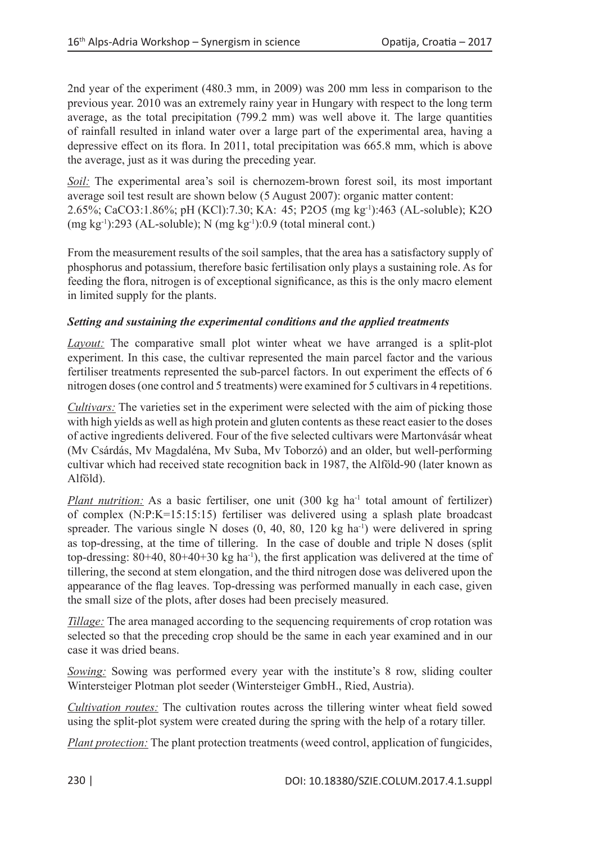2nd year of the experiment (480.3 mm, in 2009) was 200 mm less in comparison to the previous year. 2010 was an extremely rainy year in Hungary with respect to the long term average, as the total precipitation (799.2 mm) was well above it. The large quantities of rainfall resulted in inland water over a large part of the experimental area, having a depressive effect on its flora. In 2011, total precipitation was 665.8 mm, which is above the average, just as it was during the preceding year.

*Soil:* The experimental area's soil is chernozem-brown forest soil, its most important average soil test result are shown below (5 August 2007): organic matter content: 2.65%; CaCO3:1.86%; pH (KCl):7.30; KA: 45; P2O5 (mg kg-1):463 (AL-soluble); K2O (mg kg-1):293 (AL-soluble); N (mg kg-1):0.9 (total mineral cont.)

From the measurement results of the soil samples, that the area has a satisfactory supply of phosphorus and potassium, therefore basic fertilisation only plays a sustaining role. As for feeding the flora, nitrogen is of exceptional significance, as this is the only macro element in limited supply for the plants.

### *Setting and sustaining the experimental conditions and the applied treatments*

*Layout:* The comparative small plot winter wheat we have arranged is a split-plot experiment. In this case, the cultivar represented the main parcel factor and the various fertiliser treatments represented the sub-parcel factors. In out experiment the effects of 6 nitrogen doses (one control and 5 treatments) were examined for 5 cultivars in 4 repetitions.

*Cultivars:* The varieties set in the experiment were selected with the aim of picking those with high yields as well as high protein and gluten contents as these react easier to the doses of active ingredients delivered. Four of the five selected cultivars were Martonvásár wheat (Mv Csárdás, Mv Magdaléna, Mv Suba, Mv Toborzó) and an older, but well-performing cultivar which had received state recognition back in 1987, the Alföld-90 (later known as Alföld).

*Plant nutrition:* As a basic fertiliser, one unit (300 kg ha<sup>-1</sup> total amount of fertilizer) of complex (N:P:K=15:15:15) fertiliser was delivered using a splash plate broadcast spreader. The various single N doses  $(0, 40, 80, 120 \text{ kg ha}^{-1})$  were delivered in spring as top-dressing, at the time of tillering. In the case of double and triple N doses (split top-dressing:  $80+40$ ,  $80+40+30$  kg ha<sup>-1</sup>), the first application was delivered at the time of tillering, the second at stem elongation, and the third nitrogen dose was delivered upon the appearance of the flag leaves. Top-dressing was performed manually in each case, given the small size of the plots, after doses had been precisely measured.

*Tillage:* The area managed according to the sequencing requirements of crop rotation was selected so that the preceding crop should be the same in each year examined and in our case it was dried beans.

*Sowing:* Sowing was performed every year with the institute's 8 row, sliding coulter Wintersteiger Plotman plot seeder (Wintersteiger GmbH., Ried, Austria).

*Cultivation routes:* The cultivation routes across the tillering winter wheat field sowed using the split-plot system were created during the spring with the help of a rotary tiller.

*Plant protection:* The plant protection treatments (weed control, application of fungicides,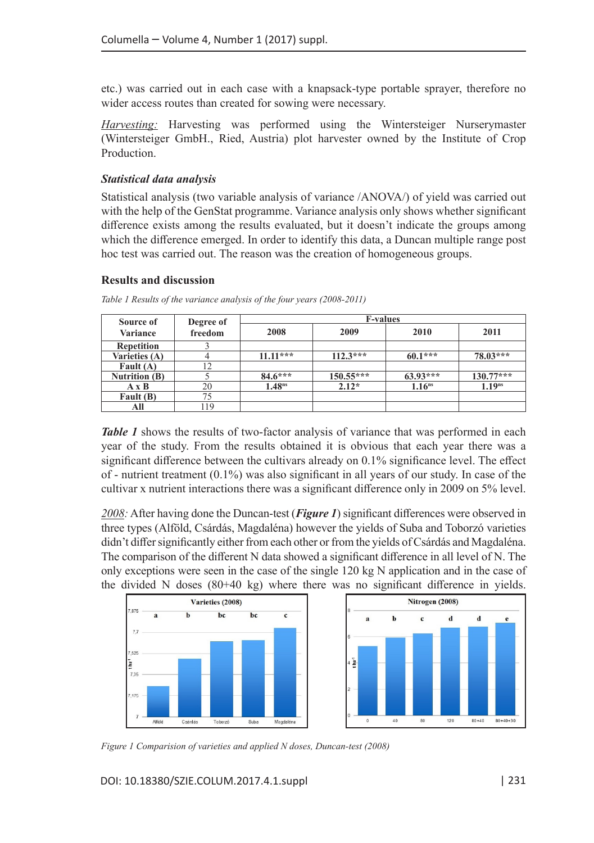etc.) was carried out in each case with a knapsack-type portable sprayer, therefore no wider access routes than created for sowing were necessary.

*Harvesting:* Harvesting was performed using the Wintersteiger Nurserymaster (Wintersteiger GmbH., Ried, Austria) plot harvester owned by the Institute of Crop Production.

#### *Statistical data analysis*

Statistical analysis (two variable analysis of variance /ANOVA/) of yield was carried out with the help of the GenStat programme. Variance analysis only shows whether significant difference exists among the results evaluated, but it doesn't indicate the groups among which the difference emerged. In order to identify this data, a Duncan multiple range post hoc test was carried out. The reason was the creation of homogeneous groups.

#### **Results and discussion**

| Source of            | Degree of | <b>F-values</b>    |            |                    |                    |  |  |  |
|----------------------|-----------|--------------------|------------|--------------------|--------------------|--|--|--|
| Variance             | freedom   | 2008               | 2009       | 2010               | 2011               |  |  |  |
| <b>Repetition</b>    |           |                    |            |                    |                    |  |  |  |
| Varieties (A)        |           | $11.11***$         | $112.3***$ | $60.1***$          | $78.03***$         |  |  |  |
| Fault $(A)$          | 12        |                    |            |                    |                    |  |  |  |
| <b>Nutrition (B)</b> |           | $84.6***$          | 150.55***  | $63.93***$         | $130.77***$        |  |  |  |
| АхВ                  | 20        | 1.48 <sup>ns</sup> | $2.12*$    | 1.16 <sup>ns</sup> | 1.19 <sup>ns</sup> |  |  |  |
| Fault (B)            | 75        |                    |            |                    |                    |  |  |  |
| All                  | 119       |                    |            |                    |                    |  |  |  |

*Table 1 Results of the variance analysis of the four years (2008-2011)*

*Table 1* shows the results of two-factor analysis of variance that was performed in each year of the study. From the results obtained it is obvious that each year there was a significant difference between the cultivars already on 0.1% significance level. The effect of - nutrient treatment  $(0.1\%)$  was also significant in all years of our study. In case of the cultivar x nutrient interactions there was a significant difference only in 2009 on 5% level.

*2008:* After having done the Duncan-test (*Figure 1*) significant differences were observed in three types (Alföld, Csárdás, Magdaléna) however the yields of Suba and Toborzó varieties didn't differ significantly either from each other or from the yields of Csárdás and Magdaléna. The comparison of the different N data showed a significant difference in all level of N. The only exceptions were seen in the case of the single 120 kg N application and in the case of the divided N doses (80+40 kg) where there was no significant difference in yields.



*Figure 1 Comparision of varieties and applied N doses, Duncan-test (2008)*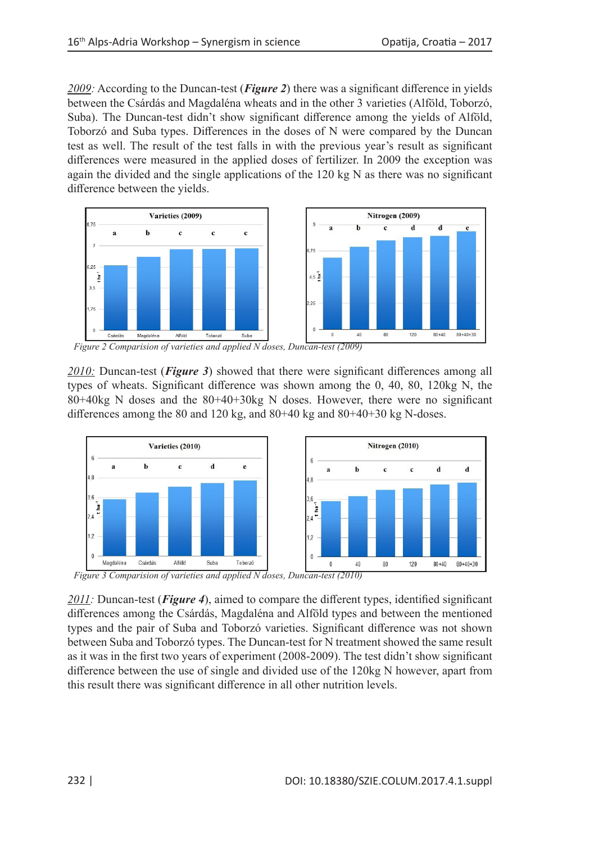*2009:* According to the Duncan-test (*Figure 2*) there was a significant difference in yields between the Csárdás and Magdaléna wheats and in the other 3 varieties (Alföld, Toborzó, Suba). The Duncan-test didn't show significant difference among the yields of Alföld, Toborzó and Suba types. Differences in the doses of N were compared by the Duncan test as well. The result of the test falls in with the previous year's result as significant differences were measured in the applied doses of fertilizer. In 2009 the exception was again the divided and the single applications of the 120 kg N as there was no significant difference between the yields.



*Figure 2 Comparision of varieties and applied N doses, Duncan-test (2009)*

*2010:* Duncan-test (*Figure 3*) showed that there were significant differences among all types of wheats. Significant difference was shown among the 0, 40, 80, 120kg N, the 80+40kg N doses and the 80+40+30kg N doses. However, there were no significant differences among the 80 and 120 kg, and 80+40 kg and 80+40+30 kg N-doses.



*Figure 3 Comparision of varieties and applied N doses, Duncan-test (2010)*

*2011:* Duncan-test (*Figure 4*), aimed to compare the different types, identified significant differences among the Csárdás, Magdaléna and Alföld types and between the mentioned types and the pair of Suba and Toborzó varieties. Significant difference was not shown between Suba and Toborzó types. The Duncan-test for N treatment showed the same result as it was in the first two years of experiment (2008-2009). The test didn't show significant difference between the use of single and divided use of the 120kg N however, apart from this result there was significant difference in all other nutrition levels.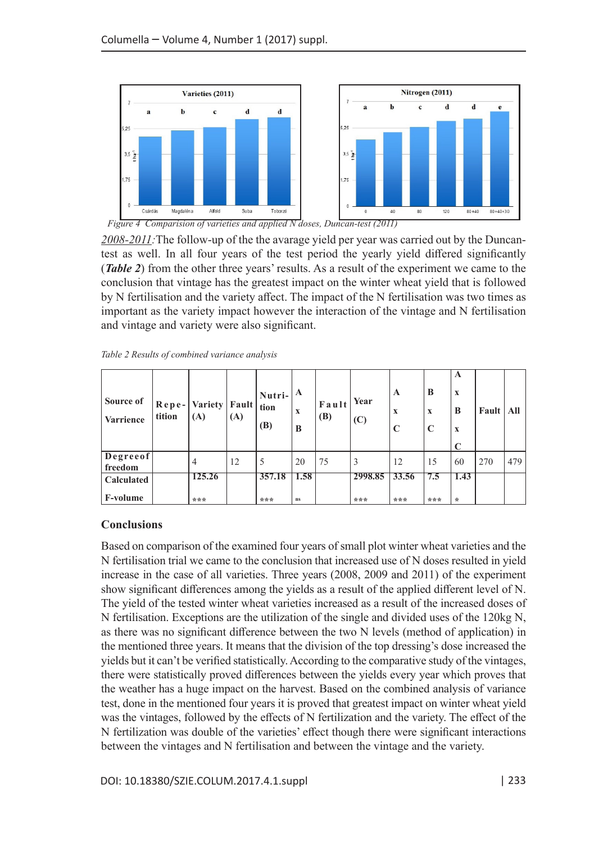

*2008-2011:*The follow-up of the the avarage yield per year was carried out by the Duncantest as well. In all four years of the test period the yearly yield differed significantly (*Table 2*) from the other three years' results. As a result of the experiment we came to the conclusion that vintage has the greatest impact on the winter wheat yield that is followed by N fertilisation and the variety affect. The impact of the N fertilisation was two times as important as the variety impact however the interaction of the vintage and N fertilisation and vintage and variety were also significant.

| Source of<br><b>Varrience</b> | tition | Repe- Variety   Fault   tion<br>(A) | (A) | $\vert$ Nutri- $\vert$ A<br>(B) | X<br>B | Fault<br>(B) | Year<br>(C) | A<br>X<br>$\mathbf C$ | B<br>$\mathbf x$<br>$\mathbf C$ | A<br>X<br>B<br>X | Fault | All |
|-------------------------------|--------|-------------------------------------|-----|---------------------------------|--------|--------------|-------------|-----------------------|---------------------------------|------------------|-------|-----|
| Degreeof<br>freedom           |        | $\overline{4}$                      | 12  | 5                               | 20     | 75           | 3           | 12                    | 15                              | 60               | 270   | 479 |
| Calculated                    |        | 125.26                              |     | 357.18                          | 1.58   |              | 2998.85     | 33.56                 | 7.5                             | 1.43             |       |     |
| <b>F-volume</b>               |        | ***                                 |     | ***                             | ns     |              | ***         | ***                   | ***                             | $\star$          |       |     |

## **Conclusions**

Based on comparison of the examined four years of small plot winter wheat varieties and the N fertilisation trial we came to the conclusion that increased use of N doses resulted in yield increase in the case of all varieties. Three years (2008, 2009 and 2011) of the experiment show significant differences among the yields as a result of the applied different level of N. The yield of the tested winter wheat varieties increased as a result of the increased doses of N fertilisation. Exceptions are the utilization of the single and divided uses of the 120kg N, as there was no significant difference between the two N levels (method of application) in the mentioned three years. It means that the division of the top dressing's dose increased the yields but it can't be verified statistically. According to the comparative study of the vintages, there were statistically proved differences between the yields every year which proves that the weather has a huge impact on the harvest. Based on the combined analysis of variance test, done in the mentioned four years it is proved that greatest impact on winter wheat yield was the vintages, followed by the effects of N fertilization and the variety. The effect of the N fertilization was double of the varieties' effect though there were significant interactions between the vintages and N fertilisation and between the vintage and the variety.